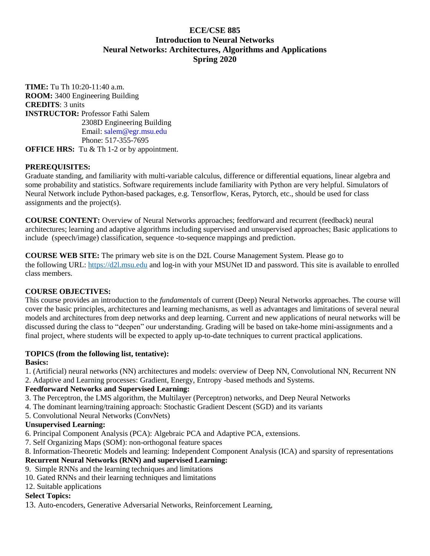# **ECE/CSE 885 Introduction to Neural Networks Neural Networks: Architectures, Algorithms and Applications Spring 2020**

**TIME:** Tu Th 10:20-11:40 a.m. **ROOM:** 3400 Engineering Building **CREDITS**: 3 units **INSTRUCTOR:** Professor Fathi Salem 2308D Engineering Building Email: salem@egr.msu.edu Phone: 517-355-7695 **OFFICE HRS:** Tu & Th 1-2 or by appointment.

# **PREREQUISITES:**

Graduate standing, and familiarity with multi-variable calculus, difference or differential equations, linear algebra and some probability and statistics. Software requirements include familiarity with Python are very helpful. Simulators of Neural Network include Python-based packages, e.g. Tensorflow, Keras, Pytorch, etc., should be used for class assignments and the project(s).

**COURSE CONTENT:** Overview of Neural Networks approaches; feedforward and recurrent (feedback) neural architectures; learning and adaptive algorithms including supervised and unsupervised approaches; Basic applications to include (speech/image) classification, sequence -to-sequence mappings and prediction.

**COURSE WEB SITE:** The primary web site is on the D2L Course Management System. Please go to the following URL: [https://d2l.msu.edu](https://d2l.msu.edu/) and log-in with your MSUNet ID and password. This site is available to enrolled class members.

# **COURSE OBJECTIVES:**

This course provides an introduction to the *fundamentals* of current (Deep) Neural Networks approaches. The course will cover the basic principles, architectures and learning mechanisms, as well as advantages and limitations of several neural models and architectures from deep networks and deep learning. Current and new applications of neural networks will be discussed during the class to "deepen" our understanding. Grading will be based on take-home mini-assignments and a final project, where students will be expected to apply up-to-date techniques to current practical applications.

# **TOPICS (from the following list, tentative):**

#### **Basics:**

1. (Artificial) neural networks (NN) architectures and models: overview of Deep NN, Convolutional NN, Recurrent NN

2. Adaptive and Learning processes: Gradient, Energy, Entropy -based methods and Systems.

#### **Feedforward Networks and Supervised Learning:**

- 3. The Perceptron, the LMS algorithm, the Multilayer (Perceptron) networks, and Deep Neural Networks
- 4. The dominant learning/training approach: Stochastic Gradient Descent (SGD) and its variants
- 5. Convolutional Neural Networks (ConvNets)

# **Unsupervised Learning:**

- 6. Principal Component Analysis (PCA): Algebraic PCA and Adaptive PCA, extensions.
- 7. Self Organizing Maps (SOM): non-orthogonal feature spaces
- 8. Information-Theoretic Models and learning: Independent Component Analysis (ICA) and sparsity of representations

#### **Recurrent Neural Networks (RNN) and supervised Learning:**

- 9. Simple RNNs and the learning techniques and limitations
- 10. Gated RNNs and their learning techniques and limitations
- 12. Suitable applications

# **Select Topics:**

13. Auto-encoders, Generative Adversarial Networks, Reinforcement Learning,